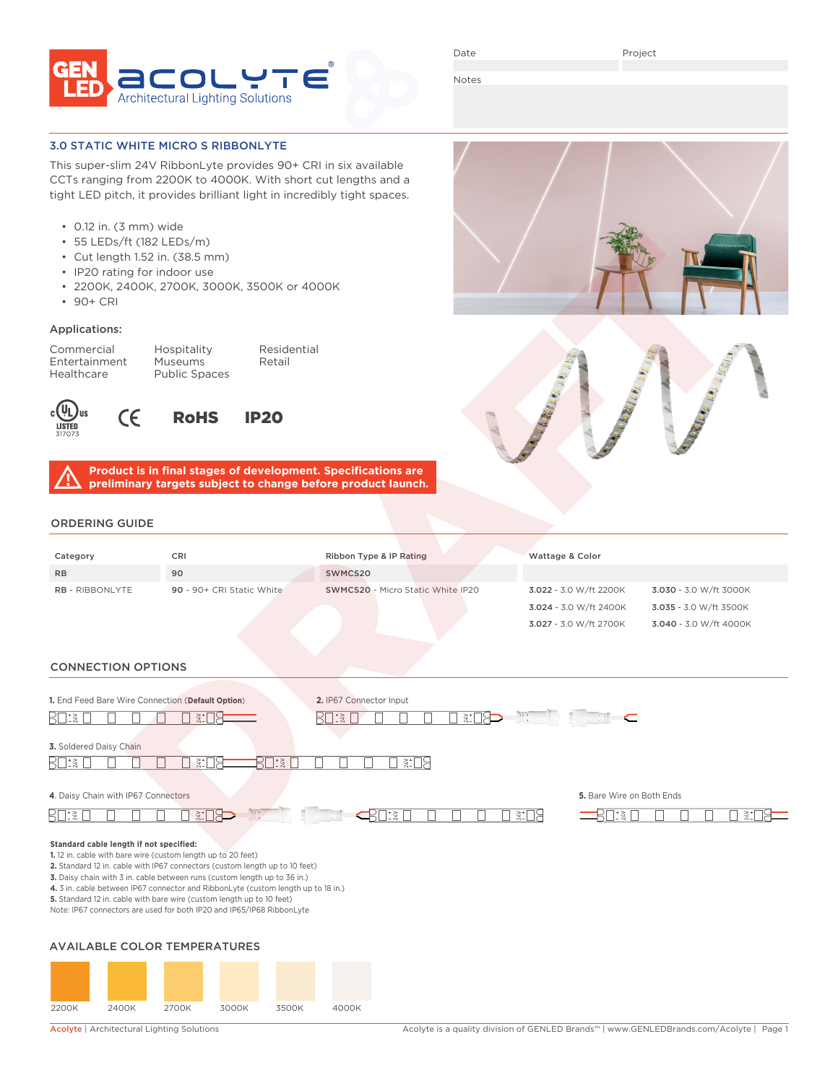

Date

Project

3.027 - 3.0 W/ft 2700K 3.040 - 3.0 W/ft 4000K

Notes

#### 3.0 STATIC WHITE MICRO S RIBBONLYTE

This super-slim 24V RibbonLyte provides 90+ CRI in six available CCTs ranging from 2200K to 4000K. With short cut lengths and a tight LED pitch, it provides brilliant light in incredibly tight spaces.

- 0.12 in. (3 mm) wide
- 55 LEDs/ft (182 LEDs/m)
- Cut length 1.52 in. (38.5 mm)
- IP20 rating for indoor use

 $\epsilon$ 

- 2200K, 2400K, 2700K, 3000K, 3500K or 4000K
- 90+ CRI

### Applications:

Entertainment Museums Healthcare Public Spaces

Commercial Hospitality Residential



RoHS IP20

**Product is in final stages of development. Specifications are preliminary targets subject to change before product launch.**

## ORD

| DRDERING GUIDE         |                           |                         |                                          |                        |                        |
|------------------------|---------------------------|-------------------------|------------------------------------------|------------------------|------------------------|
| Category               | <b>CRI</b>                | Ribbon Type & IP Rating |                                          | Wattage & Color        |                        |
| R <sub>B</sub>         | 90                        | SWMCS20                 |                                          |                        |                        |
| <b>RB - RIBBONLYTE</b> | 90 - 90+ CRI Static White |                         | <b>SWMCS20</b> - Micro Static White IP20 | 3.022 - 3.0 W/ft 2200K | 3.030 - 3.0 W/ft 3000K |
|                        |                           |                         |                                          | 3.024 - 3.0 W/ft 2400K | 3.035 - 3.0 W/ft 3500K |

### CONNECTION OPTIONS

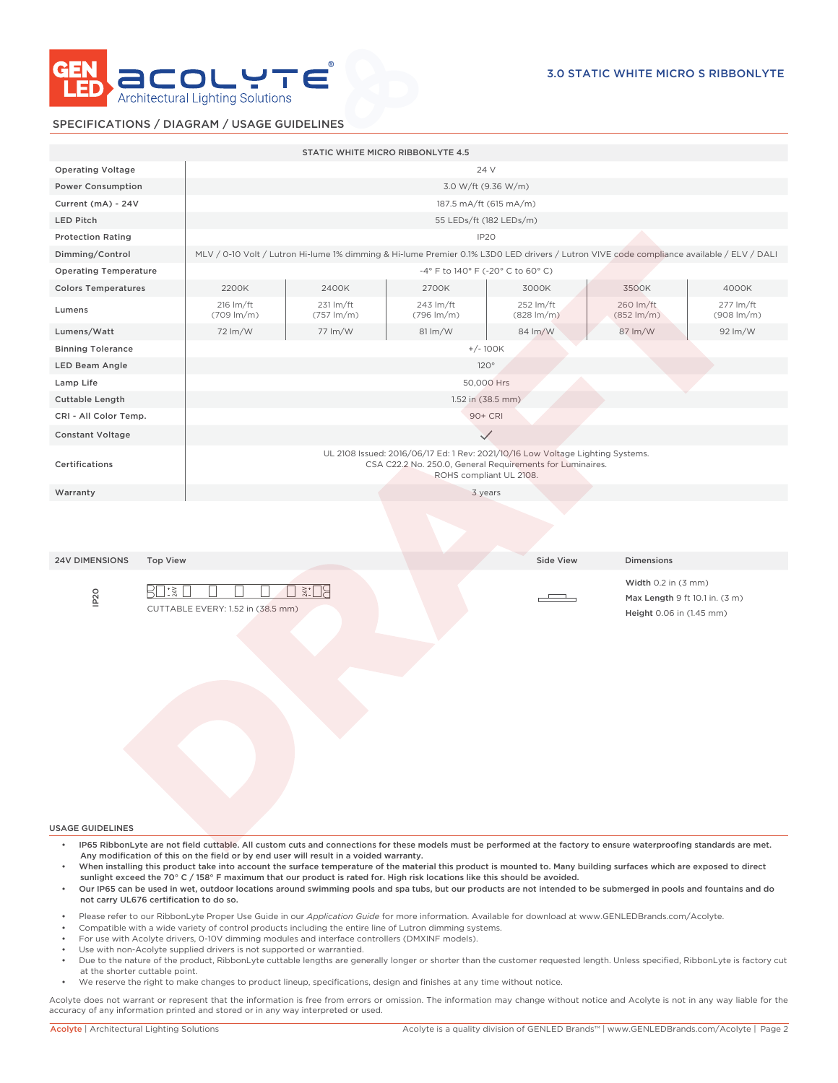

### SPECIFICATIONS / DIAGRAM / USAGE GUIDELINES

|                                                                                                                                                                                                                                                                                                                                                                                                                                                      |                                                                                                                                                                        |                                     | STATIC WHITE MICRO RIBBONLYTE 4.5                                                                                          |                                     |                                     |                                     |  |  |  |
|------------------------------------------------------------------------------------------------------------------------------------------------------------------------------------------------------------------------------------------------------------------------------------------------------------------------------------------------------------------------------------------------------------------------------------------------------|------------------------------------------------------------------------------------------------------------------------------------------------------------------------|-------------------------------------|----------------------------------------------------------------------------------------------------------------------------|-------------------------------------|-------------------------------------|-------------------------------------|--|--|--|
| <b>Operating Voltage</b>                                                                                                                                                                                                                                                                                                                                                                                                                             |                                                                                                                                                                        |                                     | 24 V                                                                                                                       |                                     |                                     |                                     |  |  |  |
| <b>Power Consumption</b>                                                                                                                                                                                                                                                                                                                                                                                                                             | 3.0 W/ft (9.36 W/m)                                                                                                                                                    |                                     |                                                                                                                            |                                     |                                     |                                     |  |  |  |
| Current (mA) - 24V                                                                                                                                                                                                                                                                                                                                                                                                                                   | 187.5 mA/ft (615 mA/m)                                                                                                                                                 |                                     |                                                                                                                            |                                     |                                     |                                     |  |  |  |
| <b>LED Pitch</b>                                                                                                                                                                                                                                                                                                                                                                                                                                     | 55 LEDs/ft (182 LEDs/m)                                                                                                                                                |                                     |                                                                                                                            |                                     |                                     |                                     |  |  |  |
| IP <sub>20</sub><br><b>Protection Rating</b>                                                                                                                                                                                                                                                                                                                                                                                                         |                                                                                                                                                                        |                                     |                                                                                                                            |                                     |                                     |                                     |  |  |  |
| Dimming/Control                                                                                                                                                                                                                                                                                                                                                                                                                                      | MLV / 0-10 Volt / Lutron Hi-lume 1% dimming & Hi-lume Premier 0.1% L3D0 LED drivers / Lutron VIVE code compliance available / ELV / DALI                               |                                     |                                                                                                                            |                                     |                                     |                                     |  |  |  |
| <b>Operating Temperature</b>                                                                                                                                                                                                                                                                                                                                                                                                                         | -4° F to 140° F (-20° C to 60° C)                                                                                                                                      |                                     |                                                                                                                            |                                     |                                     |                                     |  |  |  |
| <b>Colors Temperatures</b>                                                                                                                                                                                                                                                                                                                                                                                                                           | 2200K                                                                                                                                                                  | 2400K                               | 2700K                                                                                                                      | 3000K                               | 3500K                               | 4000K                               |  |  |  |
| Lumens                                                                                                                                                                                                                                                                                                                                                                                                                                               | 216 lm/ft<br>$(709 \, \text{Im/m})$                                                                                                                                    | 231 lm/ft<br>$(757 \, \text{Im/m})$ | 243 lm/ft<br>$(796 \, \text{Im/m})$                                                                                        | 252 lm/ft<br>$(828 \, \text{Im/m})$ | 260 lm/ft<br>$(852 \, \text{Im/m})$ | 277 lm/ft<br>$(908 \, \text{Im/m})$ |  |  |  |
| Lumens/Watt                                                                                                                                                                                                                                                                                                                                                                                                                                          | 72 lm/W                                                                                                                                                                | 77 lm/W                             | $81 \, \text{Im}/\text{W}$                                                                                                 | 84 lm/W                             | 87 lm/W                             | 92 lm/W                             |  |  |  |
| <b>Binning Tolerance</b>                                                                                                                                                                                                                                                                                                                                                                                                                             |                                                                                                                                                                        |                                     |                                                                                                                            |                                     |                                     |                                     |  |  |  |
| LED Beam Angle                                                                                                                                                                                                                                                                                                                                                                                                                                       | $+/- 100K$<br>120°                                                                                                                                                     |                                     |                                                                                                                            |                                     |                                     |                                     |  |  |  |
| Lamp Life                                                                                                                                                                                                                                                                                                                                                                                                                                            | 50,000 Hrs                                                                                                                                                             |                                     |                                                                                                                            |                                     |                                     |                                     |  |  |  |
| <b>Cuttable Length</b>                                                                                                                                                                                                                                                                                                                                                                                                                               |                                                                                                                                                                        | 1.52 in (38.5 mm)                   |                                                                                                                            |                                     |                                     |                                     |  |  |  |
| CRI - All Color Temp.                                                                                                                                                                                                                                                                                                                                                                                                                                | 90+ CRI                                                                                                                                                                |                                     |                                                                                                                            |                                     |                                     |                                     |  |  |  |
| <b>Constant Voltage</b>                                                                                                                                                                                                                                                                                                                                                                                                                              | $\checkmark$                                                                                                                                                           |                                     |                                                                                                                            |                                     |                                     |                                     |  |  |  |
|                                                                                                                                                                                                                                                                                                                                                                                                                                                      |                                                                                                                                                                        |                                     |                                                                                                                            |                                     |                                     |                                     |  |  |  |
| Certifications                                                                                                                                                                                                                                                                                                                                                                                                                                       | UL 2108 Issued: 2016/06/17 Ed: 1 Rev: 2021/10/16 Low Voltage Lighting Systems.<br>CSA C22.2 No. 250.0, General Requirements for Luminaires.<br>ROHS compliant UL 2108. |                                     |                                                                                                                            |                                     |                                     |                                     |  |  |  |
| 3 years<br>Warranty                                                                                                                                                                                                                                                                                                                                                                                                                                  |                                                                                                                                                                        |                                     |                                                                                                                            |                                     |                                     |                                     |  |  |  |
|                                                                                                                                                                                                                                                                                                                                                                                                                                                      |                                                                                                                                                                        |                                     |                                                                                                                            |                                     |                                     |                                     |  |  |  |
| <b>24V DIMENSIONS</b><br><b>Top View</b>                                                                                                                                                                                                                                                                                                                                                                                                             |                                                                                                                                                                        |                                     |                                                                                                                            | Side View                           | <b>Dimensions</b>                   |                                     |  |  |  |
| Width $0.2$ in $(3 \text{ mm})$<br>※:□음<br>$\exists$ : $\frac{1}{2}$<br>IP <sub>20</sub><br>KI<br>Max Length 9 ft 10.1 in. (3 m)<br>CUTTABLE EVERY: 1.52 in (38.5 mm)<br>Height 0.06 in (1.45 mm)                                                                                                                                                                                                                                                    |                                                                                                                                                                        |                                     |                                                                                                                            |                                     |                                     |                                     |  |  |  |
| <b>USAGE GUIDELINES</b>                                                                                                                                                                                                                                                                                                                                                                                                                              |                                                                                                                                                                        |                                     |                                                                                                                            |                                     |                                     |                                     |  |  |  |
| IP65 RibbonLyte are not field cuttable. All custom cuts and connections for these models must be performed at the factory to ensure waterproofing standards are met.<br>Any modification of this on the field or by end user will result in a voided warranty.<br>When installing this product take into account the surface temperature of the material this product is mounted to. Many building surfaces which are exposed to direct<br>$\bullet$ |                                                                                                                                                                        |                                     | sunlight exceed the 70° C / 158° F maximum that our product is rated for. High risk locations like this should be avoided. |                                     |                                     |                                     |  |  |  |

- Our IP65 can be used in wet, outdoor locations around swimming pools and spa tubs, but our products are not intended to be submerged in pools and fountains and do not carry UL676 certification to do so.
- Please refer to our RibbonLyte Proper Use Guide in our *Application Guide* for more information. Available for download at www.GENLEDBrands.com/Acolyte.
- Compatible with a wide variety of control products including the entire line of Lutron dimming systems.
- For use with Acolyte drivers, 0-10V dimming modules and interface controllers (DMXINF models).
- Use with non-Acolyte supplied drivers is not supported or warrantied.
- Due to the nature of the product, RibbonLyte cuttable lengths are generally longer or shorter than the customer requested length. Unless specified, RibbonLyte is factory cut at the shorter cuttable point.
- We reserve the right to make changes to product lineup, specifications, design and finishes at any time without notice.

Acolyte does not warrant or represent that the information is free from errors or omission. The information may change without notice and Acolyte is not in any way liable for the accuracy of any information printed and stored or in any way interpreted or used.